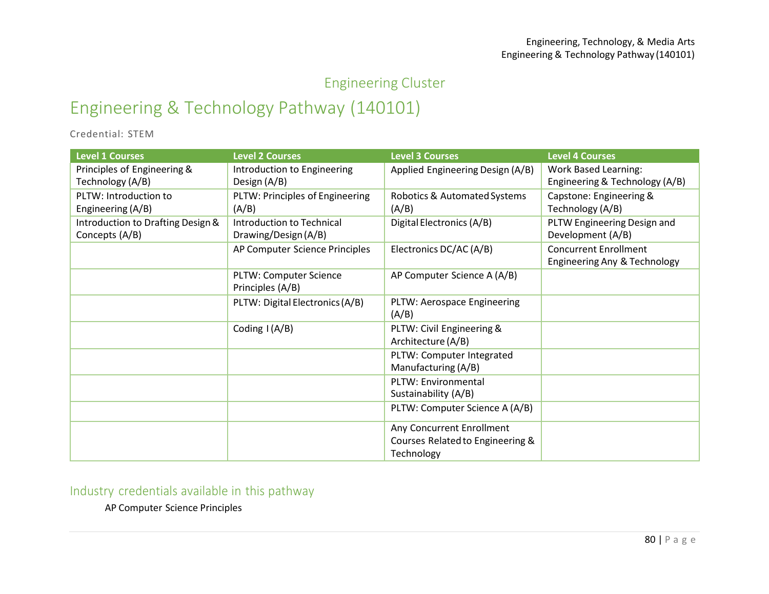## Engineering Cluster

## Engineering & Technology Pathway (140101)

Credential: STEM

| <b>Level 1 Courses</b>                              | <b>Level 2 Courses</b>                            | <b>Level 3 Courses</b>                                                      | <b>Level 4 Courses</b>                                        |
|-----------------------------------------------------|---------------------------------------------------|-----------------------------------------------------------------------------|---------------------------------------------------------------|
| Principles of Engineering &<br>Technology (A/B)     | Introduction to Engineering<br>Design (A/B)       | Applied Engineering Design (A/B)                                            | <b>Work Based Learning:</b><br>Engineering & Technology (A/B) |
| PLTW: Introduction to<br>Engineering (A/B)          | PLTW: Principles of Engineering<br>(A/B)          | Robotics & Automated Systems<br>(A/B)                                       | Capstone: Engineering &<br>Technology (A/B)                   |
| Introduction to Drafting Design &<br>Concepts (A/B) | Introduction to Technical<br>Drawing/Design (A/B) | Digital Electronics (A/B)                                                   | PLTW Engineering Design and<br>Development (A/B)              |
|                                                     | AP Computer Science Principles                    | Electronics DC/AC (A/B)                                                     | <b>Concurrent Enrollment</b><br>Engineering Any & Technology  |
|                                                     | PLTW: Computer Science<br>Principles (A/B)        | AP Computer Science A (A/B)                                                 |                                                               |
|                                                     | PLTW: Digital Electronics (A/B)                   | PLTW: Aerospace Engineering<br>(A/B)                                        |                                                               |
|                                                     | Coding I (A/B)                                    | PLTW: Civil Engineering &<br>Architecture (A/B)                             |                                                               |
|                                                     |                                                   | PLTW: Computer Integrated<br>Manufacturing (A/B)                            |                                                               |
|                                                     |                                                   | PLTW: Environmental<br>Sustainability (A/B)                                 |                                                               |
|                                                     |                                                   | PLTW: Computer Science A (A/B)                                              |                                                               |
|                                                     |                                                   | Any Concurrent Enrollment<br>Courses Related to Engineering &<br>Technology |                                                               |

Industry credentials available in this pathway

AP Computer Science Principles